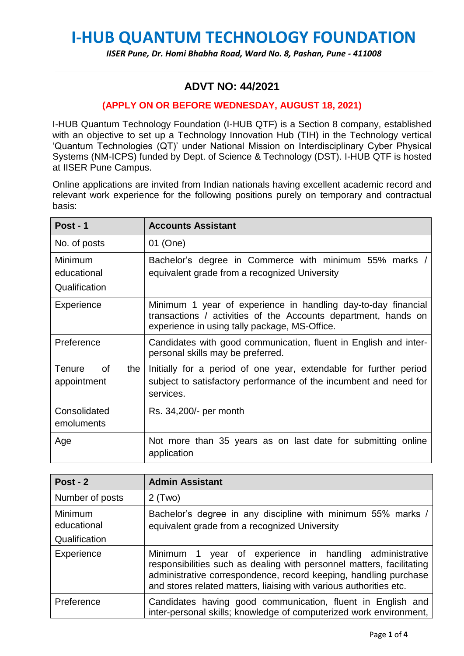# **I-HUB QUANTUM TECHNOLOGY FOUNDATION**

#### *IISER Pune, Dr. Homi Bhabha Road, Ward No. 8, Pashan, Pune - 411008*

## **ADVT NO: 44/2021**

#### **(APPLY ON OR BEFORE WEDNESDAY, AUGUST 18, 2021)**

I-HUB Quantum Technology Foundation (I-HUB QTF) is a Section 8 company, established with an objective to set up a Technology Innovation Hub (TIH) in the Technology vertical 'Quantum Technologies (QT)' under National Mission on Interdisciplinary Cyber Physical Systems (NM-ICPS) funded by Dept. of Science & Technology (DST). I-HUB QTF is hosted at IISER Pune Campus.

Online applications are invited from Indian nationals having excellent academic record and relevant work experience for the following positions purely on temporary and contractual basis:

| Post - $1$                         | <b>Accounts Assistant</b>                                                                                                                                                        |
|------------------------------------|----------------------------------------------------------------------------------------------------------------------------------------------------------------------------------|
| No. of posts                       | 01 (One)                                                                                                                                                                         |
| Minimum<br>educational             | Bachelor's degree in Commerce with minimum 55% marks /<br>equivalent grade from a recognized University                                                                          |
| Qualification                      |                                                                                                                                                                                  |
| Experience                         | Minimum 1 year of experience in handling day-to-day financial<br>transactions / activities of the Accounts department, hands on<br>experience in using tally package, MS-Office. |
| Preference                         | Candidates with good communication, fluent in English and inter-<br>personal skills may be preferred.                                                                            |
| of<br>Tenure<br>the<br>appointment | Initially for a period of one year, extendable for further period<br>subject to satisfactory performance of the incumbent and need for<br>services.                              |
| Consolidated<br>emoluments         | Rs. 34,200/- per month                                                                                                                                                           |
| Age                                | Not more than 35 years as on last date for submitting online<br>application                                                                                                      |

| Post - $2$                              | <b>Admin Assistant</b>                                                                                                                                                                                                                                                        |
|-----------------------------------------|-------------------------------------------------------------------------------------------------------------------------------------------------------------------------------------------------------------------------------------------------------------------------------|
| Number of posts                         | $2$ (Two)                                                                                                                                                                                                                                                                     |
| Minimum<br>educational<br>Qualification | Bachelor's degree in any discipline with minimum 55% marks /<br>equivalent grade from a recognized University                                                                                                                                                                 |
| Experience                              | year of experience in handling administrative<br>Minimum 1<br>responsibilities such as dealing with personnel matters, facilitating<br>administrative correspondence, record keeping, handling purchase<br>and stores related matters, liaising with various authorities etc. |
| Preference                              | Candidates having good communication, fluent in English and<br>inter-personal skills; knowledge of computerized work environment,                                                                                                                                             |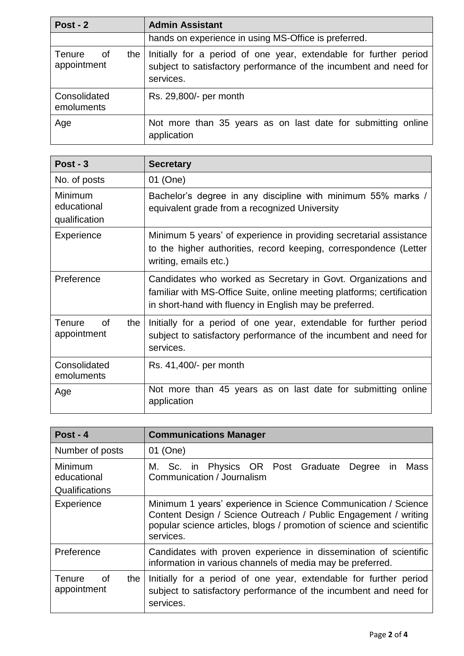| Post - $2$                                | <b>Admin Assistant</b>                                                                                                                              |
|-------------------------------------------|-----------------------------------------------------------------------------------------------------------------------------------------------------|
|                                           | hands on experience in using MS-Office is preferred.                                                                                                |
| <b>Tenure</b><br>0f<br>the<br>appointment | Initially for a period of one year, extendable for further period<br>subject to satisfactory performance of the incumbent and need for<br>services. |
| Consolidated<br>emoluments                | Rs. 29,800/- per month                                                                                                                              |
| Age                                       | Not more than 35 years as on last date for submitting online<br>application                                                                         |

| Post - $3$                              | <b>Secretary</b>                                                                                                                                                                                   |
|-----------------------------------------|----------------------------------------------------------------------------------------------------------------------------------------------------------------------------------------------------|
| No. of posts                            | 01 (One)                                                                                                                                                                                           |
| Minimum<br>educational<br>qualification | Bachelor's degree in any discipline with minimum 55% marks /<br>equivalent grade from a recognized University                                                                                      |
| Experience                              | Minimum 5 years' of experience in providing secretarial assistance<br>to the higher authorities, record keeping, correspondence (Letter<br>writing, emails etc.)                                   |
| Preference                              | Candidates who worked as Secretary in Govt. Organizations and<br>familiar with MS-Office Suite, online meeting platforms; certification<br>in short-hand with fluency in English may be preferred. |
| Tenure<br>0f<br>the<br>appointment      | Initially for a period of one year, extendable for further period<br>subject to satisfactory performance of the incumbent and need for<br>services.                                                |
| Consolidated<br>emoluments              | Rs. 41,400/- per month                                                                                                                                                                             |
| Age                                     | Not more than 45 years as on last date for submitting online<br>application                                                                                                                        |

| Post - $4$                                       | <b>Communications Manager</b>                                                                                                                                                                                           |
|--------------------------------------------------|-------------------------------------------------------------------------------------------------------------------------------------------------------------------------------------------------------------------------|
| Number of posts                                  | 01 (One)                                                                                                                                                                                                                |
| Minimum<br>educational<br>Qualifications         | M. Sc. in Physics OR Post Graduate Degree in<br>Mass<br>Communication / Journalism                                                                                                                                      |
| Experience                                       | Minimum 1 years' experience in Science Communication / Science<br>Content Design / Science Outreach / Public Engagement / writing<br>popular science articles, blogs / promotion of science and scientific<br>services. |
| Preference                                       | Candidates with proven experience in dissemination of scientific<br>information in various channels of media may be preferred.                                                                                          |
| <b>of</b><br><b>Tenure</b><br>the<br>appointment | Initially for a period of one year, extendable for further period<br>subject to satisfactory performance of the incumbent and need for<br>services.                                                                     |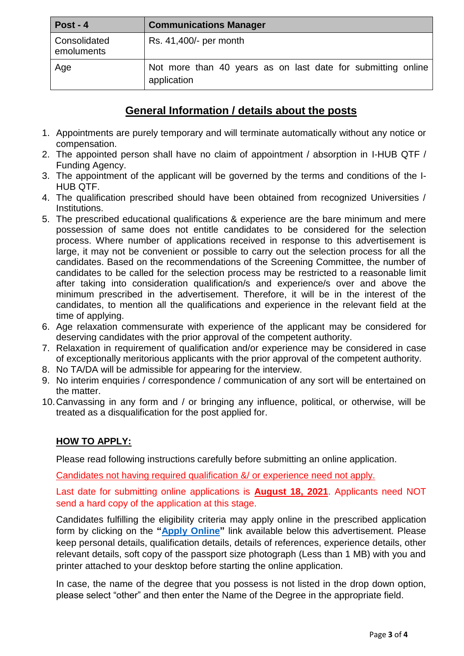| Post - $4$                 | <b>Communications Manager</b>                                               |
|----------------------------|-----------------------------------------------------------------------------|
| Consolidated<br>emoluments | Rs. 41,400/- per month                                                      |
| Age                        | Not more than 40 years as on last date for submitting online<br>application |

## **General Information / details about the posts**

- 1. Appointments are purely temporary and will terminate automatically without any notice or compensation.
- 2. The appointed person shall have no claim of appointment / absorption in I-HUB QTF / Funding Agency.
- 3. The appointment of the applicant will be governed by the terms and conditions of the I-HUB QTF.
- 4. The qualification prescribed should have been obtained from recognized Universities / Institutions.
- 5. The prescribed educational qualifications & experience are the bare minimum and mere possession of same does not entitle candidates to be considered for the selection process. Where number of applications received in response to this advertisement is large, it may not be convenient or possible to carry out the selection process for all the candidates. Based on the recommendations of the Screening Committee, the number of candidates to be called for the selection process may be restricted to a reasonable limit after taking into consideration qualification/s and experience/s over and above the minimum prescribed in the advertisement. Therefore, it will be in the interest of the candidates, to mention all the qualifications and experience in the relevant field at the time of applying.
- 6. Age relaxation commensurate with experience of the applicant may be considered for deserving candidates with the prior approval of the competent authority.
- 7. Relaxation in requirement of qualification and/or experience may be considered in case of exceptionally meritorious applicants with the prior approval of the competent authority.
- 8. No TA/DA will be admissible for appearing for the interview.
- 9. No interim enquiries / correspondence / communication of any sort will be entertained on the matter.
- 10.Canvassing in any form and / or bringing any influence, political, or otherwise, will be treated as a disqualification for the post applied for.

### **HOW TO APPLY:**

Please read following instructions carefully before submitting an online application.

Candidates not having required qualification &/ or experience need not apply.

Last date for submitting online applications is **August 18, 2021**. Applicants need NOT send a hard copy of the application at this stage.

Candidates fulfilling the eligibility criteria may apply online in the prescribed application form by clicking on the **["Apply Online"](http://www.iiserpune.ac.in/job-advertisements/listings)** link available below this advertisement. Please keep personal details, qualification details, details of references, experience details, other relevant details, soft copy of the passport size photograph (Less than 1 MB) with you and printer attached to your desktop before starting the online application.

In case, the name of the degree that you possess is not listed in the drop down option, please select "other" and then enter the Name of the Degree in the appropriate field.